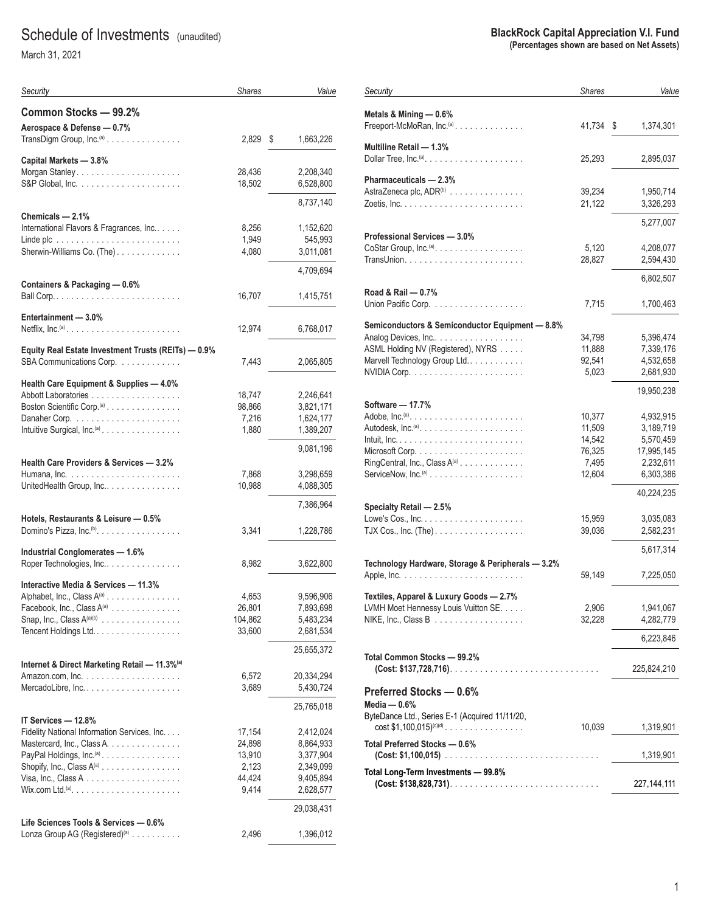# Schedule of Investments (unaudited)

March 31, 2021

| Security                                                             | <b>Shares</b>    | Value                  |
|----------------------------------------------------------------------|------------------|------------------------|
| Common Stocks - 99.2%                                                |                  |                        |
| Aerospace & Defense - 0.7%                                           |                  |                        |
| TransDigm Group, Inc. <sup>(a)</sup>                                 | 2,829            | \$<br>1,663,226        |
| Capital Markets - 3.8%                                               |                  |                        |
|                                                                      | 28,436           | 2,208,340              |
|                                                                      | 18,502           | 6,528,800              |
|                                                                      |                  | 8,737,140              |
| Chemicals — 2.1%                                                     |                  |                        |
| International Flavors & Fragrances, Inc                              | 8,256            | 1,152,620              |
|                                                                      | 1,949            | 545,993                |
| Sherwin-Williams Co. (The)                                           | 4,080            | 3,011,081              |
| Containers & Packaging - 0.6%                                        |                  | 4,709,694              |
|                                                                      | 16,707           | 1,415,751              |
|                                                                      |                  |                        |
| Entertainment - 3.0%                                                 |                  |                        |
| Netflix, $Inc^{(a)}$                                                 | 12,974           | 6,768,017              |
| Equity Real Estate Investment Trusts (REITs) - 0.9%                  |                  |                        |
| SBA Communications Corp.                                             | 7,443            | 2,065,805              |
|                                                                      |                  |                        |
| Health Care Equipment & Supplies - 4.0%                              |                  |                        |
| Boston Scientific Corp. <sup>(a)</sup>                               | 18,747<br>98,866 | 2,246,641<br>3,821,171 |
|                                                                      | 7,216            | 1,624,177              |
| Intuitive Surgical, Inc. <sup>(a)</sup> .                            | 1,880            | 1,389,207              |
|                                                                      |                  |                        |
|                                                                      |                  | 9,081,196              |
| <b>Health Care Providers &amp; Services - 3.2%</b>                   |                  |                        |
|                                                                      | 7,868            | 3,298,659              |
| UnitedHealth Group, Inc                                              | 10,988           | 4,088,305              |
|                                                                      |                  | 7,386,964              |
| Hotels, Restaurants & Leisure — 0.5%                                 |                  |                        |
| Domino's Pizza, $Inc^{(b)}$                                          | 3,341            | 1,228,786              |
| Industrial Conglomerates - 1.6%                                      |                  |                        |
| Roper Technologies, Inc                                              | 8,982            | 3,622,800              |
|                                                                      |                  |                        |
| Interactive Media & Services - 11.3%                                 |                  |                        |
| Alphabet, Inc., Class A <sup>(a)</sup><br>Facebook, Inc., Class A(a) | 4,653<br>26,801  | 9,596,906<br>7,893,698 |
| Snap, Inc., Class $A^{(a)(b)}$                                       | 104,862          | 5,483,234              |
| Tencent Holdings Ltd                                                 | 33,600           | 2,681,534              |
|                                                                      |                  | 25,655,372             |
| Internet & Direct Marketing Retail - 11.3% <sup>(a)</sup>            |                  |                        |
|                                                                      | 6,572            | 20,334,294             |
|                                                                      | 3,689            | 5,430,724              |
|                                                                      |                  | 25,765,018             |
| IT Services - 12.8%                                                  |                  |                        |
| Fidelity National Information Services, Inc.                         | 17,154           | 2,412,024              |
| Mastercard, Inc., Class A.                                           | 24,898           | 8,864,933              |
| PayPal Holdings, Inc. <sup>(a)</sup> .                               | 13,910           | 3,377,904              |
| Shopify, Inc., Class $A^{(a)}$                                       | 2,123            | 2,349,099              |
|                                                                      | 44,424           | 9,405,894              |
| $W$ ix.com Ltd. <sup>(a)</sup>                                       | 9,414            | 2,628,577              |
|                                                                      |                  | 29,038,431             |
| Life Sciences Tools & Services - 0.6%                                |                  |                        |
| Lonza Group AG (Registered) <sup>(a)</sup>                           | 2,496            | 1,396,012              |
|                                                                      |                  |                        |

#### **BlackRock Capital Appreciation V.I. Fund (Percentages shown are based on Net Assets)**

| Security                                                                                                                                        | <b>Shares</b>                                           | Value                                                                       |
|-------------------------------------------------------------------------------------------------------------------------------------------------|---------------------------------------------------------|-----------------------------------------------------------------------------|
| Metals & Mining - 0.6%<br>Freeport-McMoRan, Inc. <sup>(a)</sup>                                                                                 | 41,734                                                  | \$<br>1,374,301                                                             |
| Multiline Retail - 1.3%                                                                                                                         | 25,293                                                  | 2,895,037                                                                   |
| Pharmaceuticals - 2.3%<br>AstraZeneca plc, ADR <sup>(b)</sup>                                                                                   | 39,234<br>21,122                                        | 1,950,714<br>3,326,293                                                      |
|                                                                                                                                                 |                                                         | 5,277,007                                                                   |
| Professional Services - 3.0%<br>CoStar Group, Inc. <sup>(a)</sup> .                                                                             | 5,120<br>28,827                                         | 4,208,077<br>2,594,430                                                      |
|                                                                                                                                                 |                                                         | 6,802,507                                                                   |
| Road & Rail - 0.7%<br>Union Pacific Corp.                                                                                                       | 7,715                                                   | 1,700,463                                                                   |
| Semiconductors & Semiconductor Equipment - 8.8%                                                                                                 |                                                         |                                                                             |
| Analog Devices, Inc<br>ASML Holding NV (Registered), NYRS<br>Marvell Technology Group Ltd                                                       | 34,798<br>11,888<br>92,541<br>5,023                     | 5,396,474<br>7,339,176<br>4,532,658<br>2.681.930                            |
|                                                                                                                                                 |                                                         | 19,950,238                                                                  |
| Software - 17.7%<br>Adobe, Inc. <sup>(a)</sup><br>RingCentral, Inc., Class A(a)                                                                 | 10,377<br>11,509<br>14,542<br>76,325<br>7,495<br>12,604 | 4,932,915<br>3,189,719<br>5,570,459<br>17,995,145<br>2,232,611<br>6,303,386 |
|                                                                                                                                                 |                                                         | 40,224,235                                                                  |
| Specialty Retail - 2.5%<br>Lowe's Cos., $Inc. \ldots. \ldots. \ldots. \ldots. \ldots.$<br>TJX Cos., Inc. (The). $\dots \dots \dots \dots \dots$ | 15,959<br>39,036                                        | 3,035,083<br>2,582,231<br>5,617,314                                         |
| Technology Hardware, Storage & Peripherals - 3.2%                                                                                               |                                                         |                                                                             |
|                                                                                                                                                 | 59,149                                                  | 7,225,050                                                                   |
| Textiles, Apparel & Luxury Goods - 2.7%<br>LVMH Moet Hennessy Louis Vuitton SE.<br>$NIKE$ , Inc., Class B $\ldots \ldots \ldots \ldots \ldots$  | 2,906<br>32,228                                         | 1,941,067<br>4,282,779                                                      |
|                                                                                                                                                 |                                                         | 6,223,846                                                                   |
| Total Common Stocks - 99.2%                                                                                                                     |                                                         | 225,824,210                                                                 |
| Preferred Stocks - 0.6%<br>Media $-0.6%$                                                                                                        |                                                         |                                                                             |
| ByteDance Ltd., Series E-1 (Acquired 11/11/20,<br>cost $$1,100,015$ <sup>(c)(d)</sup>                                                           | 10,039                                                  | 1,319,901                                                                   |
| Total Preferred Stocks - 0.6%                                                                                                                   |                                                         | 1,319,901                                                                   |
| Total Long-Term Investments - 99.8%                                                                                                             |                                                         | 227, 144, 111                                                               |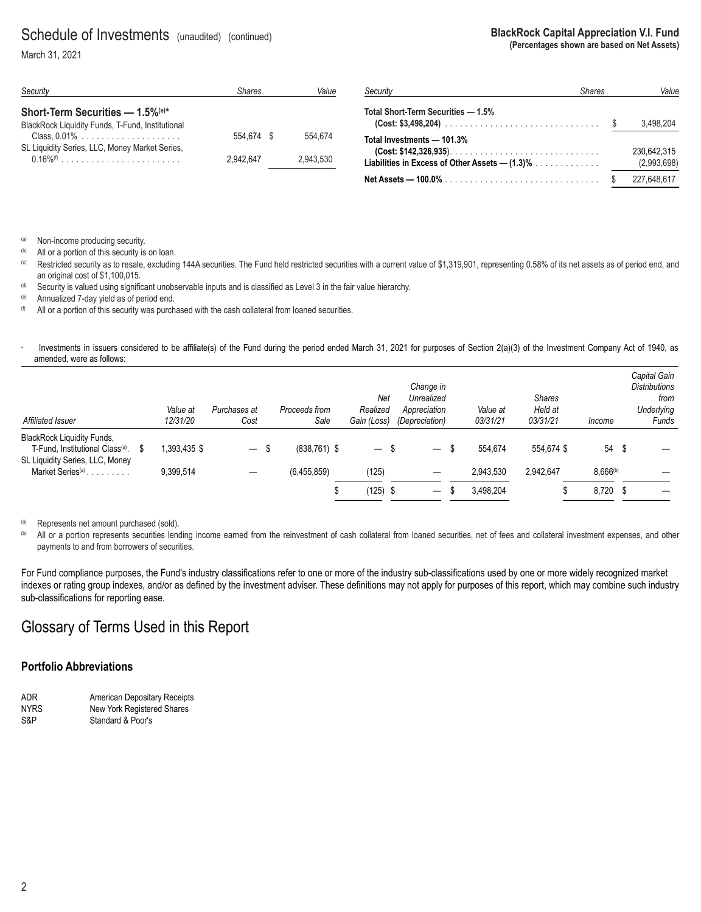### Schedule of Investments (unaudited) (continued)

March 31, 2021

| Security                                                                                                                                             | Value                   |                      |
|------------------------------------------------------------------------------------------------------------------------------------------------------|-------------------------|----------------------|
| Short-Term Securities $-$ 1.5% <sup>(e)*</sup><br>BlackRock Liquidity Funds, T-Fund, Institutional<br>SL Liquidity Series, LLC, Money Market Series, | 554.674 \$<br>2.942.647 | 554.674<br>2.943.530 |

| Security                                                                                                             | <b>Shares</b> | Value                      |
|----------------------------------------------------------------------------------------------------------------------|---------------|----------------------------|
| Total Short-Term Securities — 1.5%                                                                                   |               | 3,498,204                  |
| Total Investments — 101.3%<br>Liabilities in Excess of Other Assets — (1.3)% $\,\ldots\, \ldots\, \ldots\, \ldots\,$ |               | 230,642,315<br>(2,993,698) |
|                                                                                                                      |               | 227,648,617                |

**BlackRock Capital Appreciation V.I. Fund**

**(Percentages shown are based on Net Assets)**

(a) Non-income producing security.

<sup>(b)</sup> All or a portion of this security is on loan.<br><sup>(c)</sup> Restricted security as to resale, excluding 144A securities. The Fund held restricted securities with a current value of \$1,319,901, representing 0.58% of its net a an original cost of \$1,100,015.

(d) Security is valued using significant unobservable inputs and is classified as Level 3 in the fair value hierarchy.

(e) Annualized 7-day yield as of period end.<br>(f) All or a portion of this security was purch

All or a portion of this security was purchased with the cash collateral from loaned securities.

Investments in issuers considered to be affiliate(s) of the Fund during the period ended March 31, 2021 for purposes of Section 2(a)(3) of the Investment Company Act of 1940, as amended, were as follows:

| Affiliated Issuer                                                                                                    |   | Value at<br>12/31/20 | Purchases at<br>Cost     | Proceeds from<br>Sale | Net<br>Realized<br>Gain (Loss) |      | Change in<br>Unrealized<br>Appreciation<br><i>(Depreciation)</i> | Value at<br>03/31/21 | <b>Shares</b><br>Held at<br>03/31/21 | Income   | Capital Gain<br><b>Distributions</b><br>from<br><b>Underlying</b><br>Funds |
|----------------------------------------------------------------------------------------------------------------------|---|----------------------|--------------------------|-----------------------|--------------------------------|------|------------------------------------------------------------------|----------------------|--------------------------------------|----------|----------------------------------------------------------------------------|
| <b>BlackRock Liquidity Funds,</b><br>T-Fund, Institutional Class <sup>(a)</sup> .<br>SL Liquidity Series, LLC, Money | S | .393,435 \$          | $\overline{\phantom{m}}$ | \$<br>$(838, 761)$ \$ | $\qquad \qquad -$              | - \$ | $\overbrace{\phantom{13333}}$                                    | 554.674              | 554.674 \$                           | 54 \$    |                                                                            |
| Market Series <sup>(a)</sup>                                                                                         |   | 9,399,514            | —                        | (6.455.859)           | (125)                          |      |                                                                  | 2,943,530            | 2,942,647                            | 8,666(b) |                                                                            |
|                                                                                                                      |   |                      |                          |                       | (125)                          | - \$ | $\qquad \qquad -$                                                | 3.498.204            |                                      | 8,720 \$ |                                                                            |

(a) Represents net amount purchased (sold).

(b) All or a portion represents securities lending income earned from the reinvestment of cash collateral from loaned securities, net of fees and collateral investment expenses, and other payments to and from borrowers of securities.

For Fund compliance purposes, the Fund's industry classifications refer to one or more of the industry sub-classifications used by one or more widely recognized market indexes or rating group indexes, and/or as defined by the investment adviser. These definitions may not apply for purposes of this report, which may combine such industry sub-classifications for reporting ease.

### Glossary of Terms Used in this Report

#### **Portfolio Abbreviations**

| ADR.        | American Depositary Receipts |
|-------------|------------------------------|
| <b>NYRS</b> | New York Registered Shares   |
| S&P         | Standard & Poor's            |

2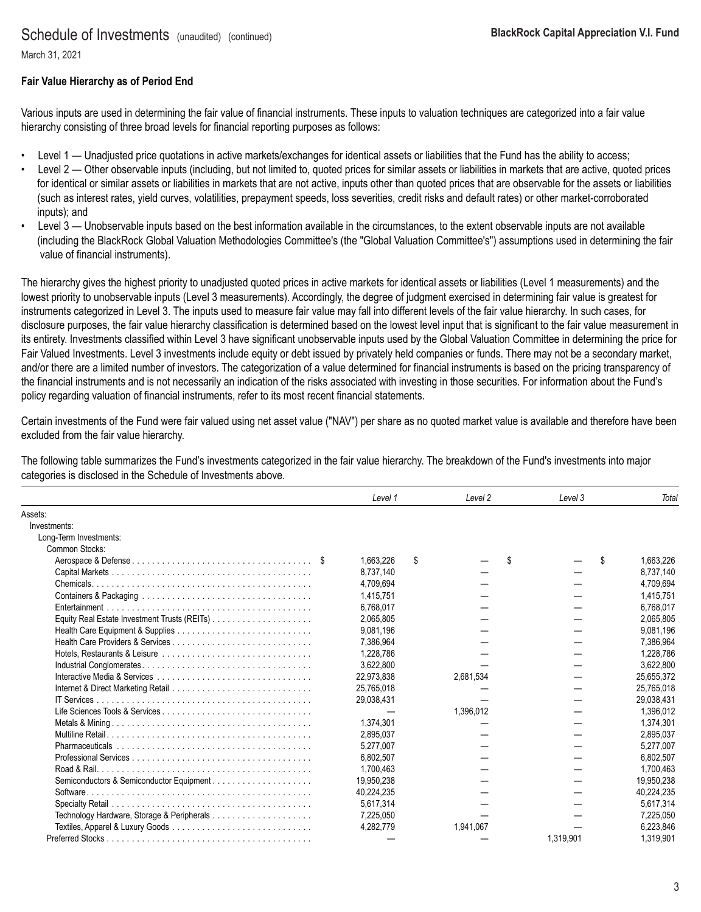### Schedule of Investments (unaudited) (continued)

March 31, 2021

#### **Fair Value Hierarchy as of Period End**

Various inputs are used in determining the fair value of financial instruments. These inputs to valuation techniques are categorized into a fair value hierarchy consisting of three broad levels for financial reporting purposes as follows:

- Level 1 Unadjusted price quotations in active markets/exchanges for identical assets or liabilities that the Fund has the ability to access;
- Level 2 Other observable inputs (including, but not limited to, quoted prices for similar assets or liabilities in markets that are active, quoted prices for identical or similar assets or liabilities in markets that are not active, inputs other than quoted prices that are observable for the assets or liabilities (such as interest rates, yield curves, volatilities, prepayment speeds, loss severities, credit risks and default rates) or other market-corroborated inputs); and
- Level 3 Unobservable inputs based on the best information available in the circumstances, to the extent observable inputs are not available (including the BlackRock Global Valuation Methodologies Committee's (the "Global Valuation Committee's") assumptions used in determining the fair value of financial instruments).

The hierarchy gives the highest priority to unadjusted quoted prices in active markets for identical assets or liabilities (Level 1 measurements) and the lowest priority to unobservable inputs (Level 3 measurements). Accordingly, the degree of judgment exercised in determining fair value is greatest for instruments categorized in Level 3. The inputs used to measure fair value may fall into different levels of the fair value hierarchy. In such cases, for disclosure purposes, the fair value hierarchy classification is determined based on the lowest level input that is significant to the fair value measurement in its entirety. Investments classified within Level 3 have significant unobservable inputs used by the Global Valuation Committee in determining the price for Fair Valued Investments. Level 3 investments include equity or debt issued by privately held companies or funds. There may not be a secondary market, and/or there are a limited number of investors. The categorization of a value determined for financial instruments is based on the pricing transparency of the financial instruments and is not necessarily an indication of the risks associated with investing in those securities. For information about the Fund's policy regarding valuation of financial instruments, refer to its most recent financial statements.

Certain investments of the Fund were fair valued using net asset value ("NAV") per share as no quoted market value is available and therefore have been excluded from the fair value hierarchy.

The following table summarizes the Fund's investments categorized in the fair value hierarchy. The breakdown of the Fund's investments into major categories is disclosed in the Schedule of Investments above.

|                                                                                                         | Level 1    | Level 2   | Level 3   | Total           |
|---------------------------------------------------------------------------------------------------------|------------|-----------|-----------|-----------------|
| Assets:                                                                                                 |            |           |           |                 |
| Investments:                                                                                            |            |           |           |                 |
| Long-Term Investments:                                                                                  |            |           |           |                 |
| Common Stocks:                                                                                          |            |           |           |                 |
|                                                                                                         | 1.663.226  | \$.       | S         | \$<br>1,663,226 |
|                                                                                                         | 8,737,140  |           |           | 8,737,140       |
| $Chemicals. \ldots \ldots \ldots \ldots \ldots \ldots \ldots \ldots \ldots \ldots \ldots \ldots \ldots$ | 4,709,694  |           |           | 4,709,694       |
|                                                                                                         | 1.415.751  |           |           | 1,415,751       |
|                                                                                                         | 6.768.017  |           |           | 6.768.017       |
|                                                                                                         | 2,065,805  |           |           | 2,065,805       |
|                                                                                                         | 9.081.196  |           |           | 9.081.196       |
|                                                                                                         | 7,386,964  |           |           | 7,386,964       |
|                                                                                                         | 1,228,786  |           |           | 1,228,786       |
|                                                                                                         | 3,622,800  |           |           | 3,622,800       |
|                                                                                                         | 22.973.838 | 2,681,534 |           | 25.655.372      |
|                                                                                                         | 25,765,018 |           |           | 25,765,018      |
|                                                                                                         | 29.038.431 |           |           | 29,038,431      |
|                                                                                                         |            | 1,396,012 |           | 1,396,012       |
|                                                                                                         | 1,374,301  |           |           | 1,374,301       |
|                                                                                                         | 2,895,037  |           |           | 2,895,037       |
|                                                                                                         | 5.277.007  |           |           | 5.277.007       |
|                                                                                                         | 6.802.507  |           |           | 6,802,507       |
|                                                                                                         | 1,700,463  |           |           | 1,700,463       |
| Semiconductors & Semiconductor Equipment                                                                | 19.950.238 |           |           | 19.950.238      |
| Software                                                                                                | 40,224,235 |           |           | 40,224,235      |
|                                                                                                         | 5,617,314  |           |           | 5,617,314       |
|                                                                                                         | 7,225,050  |           |           | 7,225,050       |
|                                                                                                         | 4,282,779  | 1,941,067 |           | 6,223,846       |
|                                                                                                         |            |           | 1.319.901 | 1.319.901       |